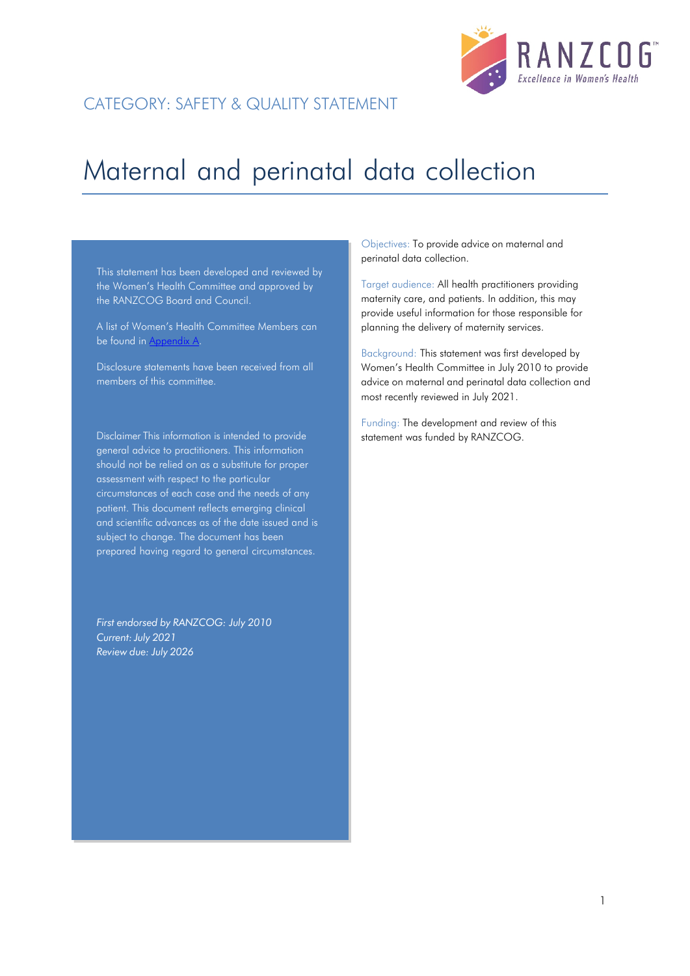

# CATEGORY: SAFETY & QUALITY STATEMENT

# Maternal and perinatal data collection

This statement has been developed and reviewed by the Women's Health Committee and approved by the RANZCOG Board and Council.

A list of Women's Health Committee Members can be found in Appendix A.

Disclosure statements have been received from all members of this committee.

Disclaimer This information is intended to provide general advice to practitioners. This information should not be relied on as a substitute for proper assessment with respect to the particular circumstances of each case and the needs of any patient. This document reflects emerging clinical and scientific advances as of the date issued and is subject to change. The document has been prepared having regard to general circumstances.

*First endorsed by RANZCOG: July 2010 Current:July 2021 Review due: July 2026*

Objectives: To provide advice on maternal and perinatal data collection.

Target audience: All health practitioners providing maternity care, and patients. In addition, this may provide useful information for those responsible for planning the delivery of maternity services.

Background: This statement was first developed by Women's Health Committee in July 2010 to provide advice on maternal and perinatal data collection and most recently reviewed in July 2021.

Funding: The development and review of this statement was funded by RANZCOG.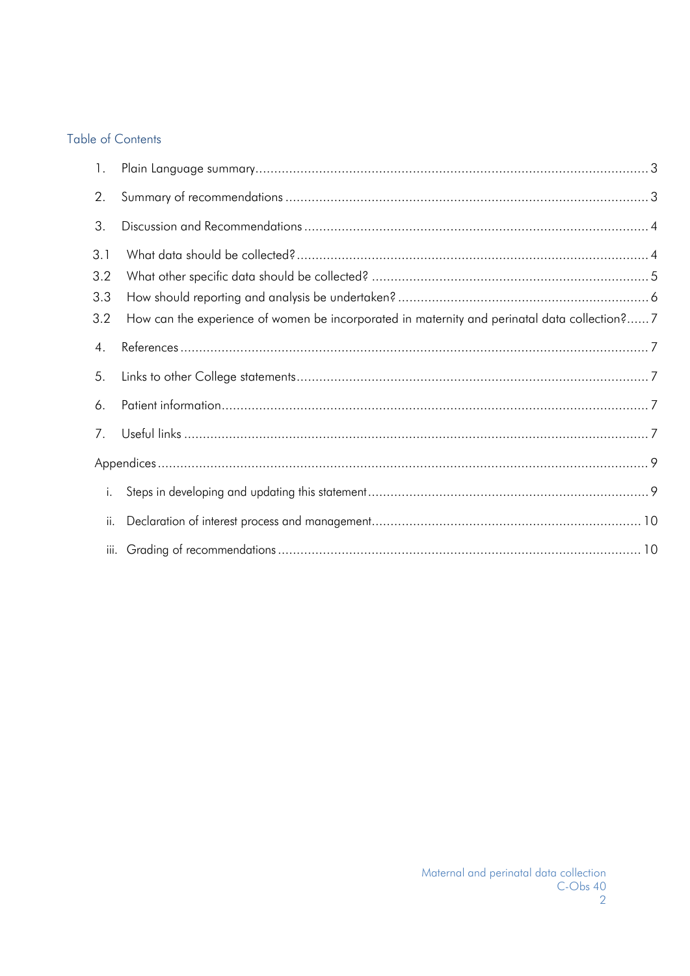## Table of Contents

| $\mathbf{1}$ .           |                                                                                              |  |
|--------------------------|----------------------------------------------------------------------------------------------|--|
| 2.                       |                                                                                              |  |
| 3.                       |                                                                                              |  |
| 3.1<br>3.2<br>3.3<br>3.2 | How can the experience of women be incorporated in maternity and perinatal data collection?7 |  |
| 4.                       |                                                                                              |  |
| 5.                       |                                                                                              |  |
| 6.                       |                                                                                              |  |
| 7.                       |                                                                                              |  |
|                          |                                                                                              |  |
| i.                       |                                                                                              |  |
| ii.                      |                                                                                              |  |
|                          |                                                                                              |  |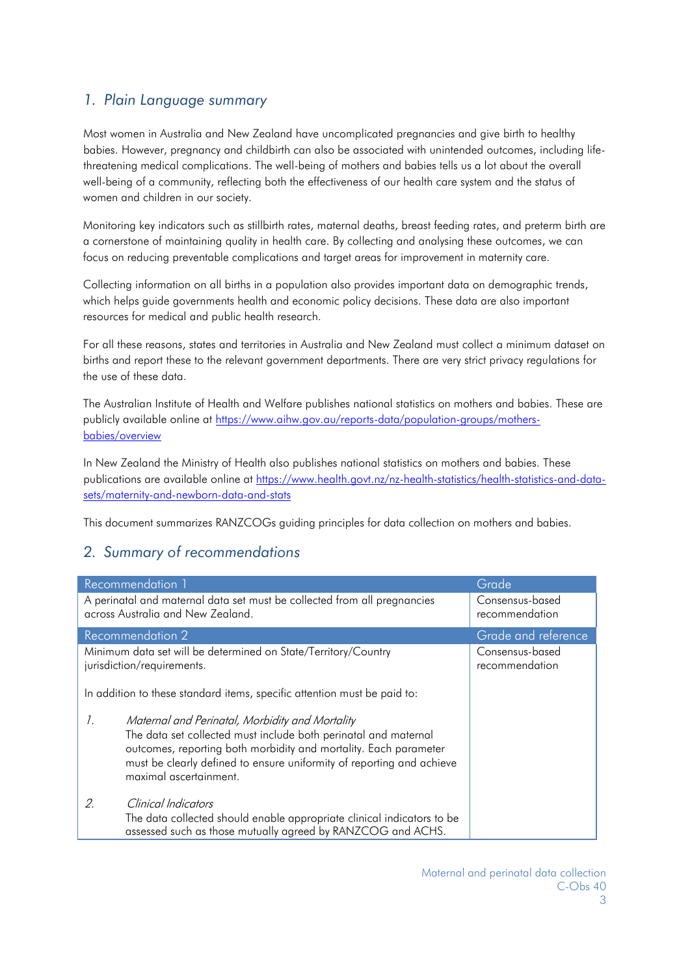# <span id="page-2-0"></span>*1. Plain Language summary*

Most women in Australia and New Zealand have uncomplicated pregnancies and give birth to healthy babies. However, pregnancy and childbirth can also be associated with unintended outcomes, including lifethreatening medical complications. The well-being of mothers and babies tells us a lot about the overall well-being of a community, reflecting both the effectiveness of our health care system and the status of women and children in our society.

Monitoring key indicators such as stillbirth rates, maternal deaths, breast feeding rates, and preterm birth are a cornerstone of maintaining quality in health care. By collecting and analysing these outcomes, we can focus on reducing preventable complications and target areas for improvement in maternity care.

Collecting information on all births in a population also provides important data on demographic trends, which helps guide governments health and economic policy decisions. These data are also important resources for medical and public health research.

For all these reasons, states and territories in Australia and New Zealand must collect a minimum dataset on births and report these to the relevant government departments. There are very strict privacy regulations for the use of these data.

The Australian Institute of Health and Welfare publishes national statistics on mothers and babies. These are publicly available online at [https://www.aihw.gov.au/reports-data/population-groups/mothers](https://www.aihw.gov.au/reports-data/population-groups/mothers-babies/overview)[babies/overview](https://www.aihw.gov.au/reports-data/population-groups/mothers-babies/overview)

In New Zealand the Ministry of Health also publishes national statistics on mothers and babies. These publications are available online at [https://www.health.govt.nz/nz-health-statistics/health-statistics-and-data](https://www.health.govt.nz/nz-health-statistics/health-statistics-and-data-sets/maternity-and-newborn-data-and-stats)[sets/maternity-and-newborn-data-and-stats](https://www.health.govt.nz/nz-health-statistics/health-statistics-and-data-sets/maternity-and-newborn-data-and-stats)

This document summarizes RANZCOGs guiding principles for data collection on mothers and babies.

# <span id="page-2-1"></span>*2. Summary of recommendations*

| Recommendation 1<br>Grade                                                                                     |                                                                                                                                                                                                                                                                                           |                                   |
|---------------------------------------------------------------------------------------------------------------|-------------------------------------------------------------------------------------------------------------------------------------------------------------------------------------------------------------------------------------------------------------------------------------------|-----------------------------------|
| A perinatal and maternal data set must be collected from all pregnancies<br>across Australia and New Zealand. |                                                                                                                                                                                                                                                                                           | Consensus-based<br>recommendation |
| Recommendation 2<br>Grade and reference                                                                       |                                                                                                                                                                                                                                                                                           |                                   |
| Minimum data set will be determined on State/Territory/Country<br>jurisdiction/requirements.                  |                                                                                                                                                                                                                                                                                           | Consensus-based<br>recommendation |
| In addition to these standard items, specific attention must be paid to:                                      |                                                                                                                                                                                                                                                                                           |                                   |
| $\mathcal{I}$ .                                                                                               | Maternal and Perinatal, Morbidity and Mortality<br>The data set collected must include both perinatal and maternal<br>outcomes, reporting both morbidity and mortality. Each parameter<br>must be clearly defined to ensure uniformity of reporting and achieve<br>maximal ascertainment. |                                   |
| 2                                                                                                             | Clinical Indicators<br>The data collected should enable appropriate clinical indicators to be<br>assessed such as those mutually agreed by RANZCOG and ACHS.                                                                                                                              |                                   |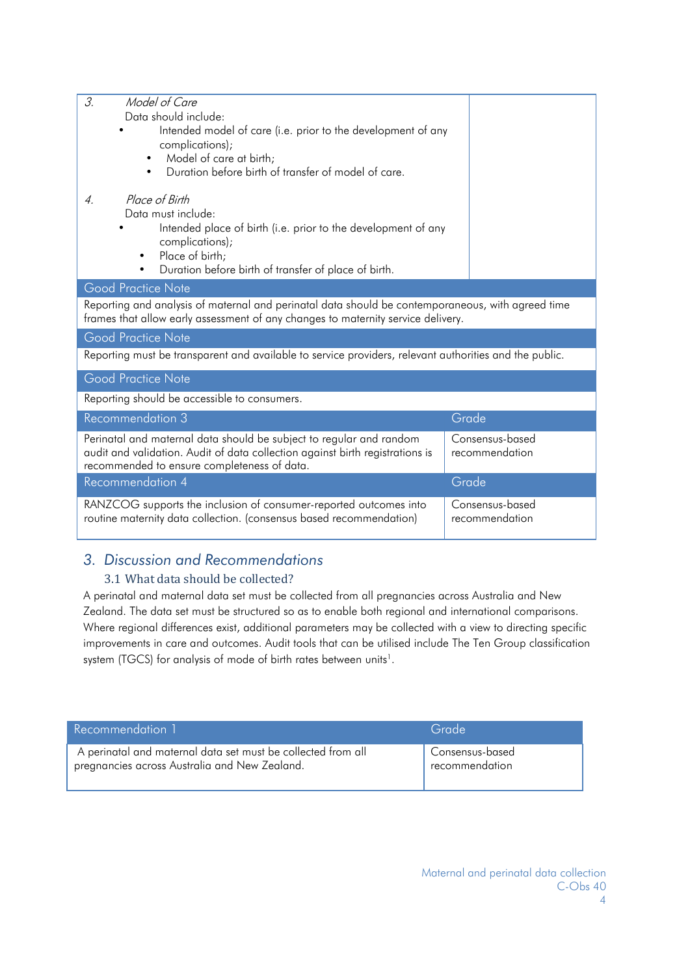| З.<br>Model of Care                                                                                                                                                                   |  |  |  |  |
|---------------------------------------------------------------------------------------------------------------------------------------------------------------------------------------|--|--|--|--|
| Data should include:                                                                                                                                                                  |  |  |  |  |
| Intended model of care (i.e. prior to the development of any                                                                                                                          |  |  |  |  |
| complications);<br>Model of care at birth;<br>$\bullet$                                                                                                                               |  |  |  |  |
| Duration before birth of transfer of model of care.<br>$\bullet$                                                                                                                      |  |  |  |  |
|                                                                                                                                                                                       |  |  |  |  |
| Place of Birth<br>$\overline{4}$                                                                                                                                                      |  |  |  |  |
| Data must include:                                                                                                                                                                    |  |  |  |  |
| Intended place of birth (i.e. prior to the development of any                                                                                                                         |  |  |  |  |
| complications);<br>Place of birth;<br>$\bullet$                                                                                                                                       |  |  |  |  |
| Duration before birth of transfer of place of birth.<br>$\bullet$                                                                                                                     |  |  |  |  |
| <b>Good Practice Note</b>                                                                                                                                                             |  |  |  |  |
|                                                                                                                                                                                       |  |  |  |  |
| Reporting and analysis of maternal and perinatal data should be contemporaneous, with agreed time<br>frames that allow early assessment of any changes to maternity service delivery. |  |  |  |  |
| <b>Good Practice Note</b>                                                                                                                                                             |  |  |  |  |
| Reporting must be transparent and available to service providers, relevant authorities and the public.                                                                                |  |  |  |  |
|                                                                                                                                                                                       |  |  |  |  |
| <b>Good Practice Note</b>                                                                                                                                                             |  |  |  |  |
| Reporting should be accessible to consumers.                                                                                                                                          |  |  |  |  |
| <b>Recommendation 3</b><br>Grade                                                                                                                                                      |  |  |  |  |
| Perinatal and maternal data should be subject to regular and random<br>Consensus-based                                                                                                |  |  |  |  |
| audit and validation. Audit of data collection against birth registrations is<br>recommendation                                                                                       |  |  |  |  |
| recommended to ensure completeness of data.                                                                                                                                           |  |  |  |  |
| <b>Recommendation 4</b><br>Grade                                                                                                                                                      |  |  |  |  |
| RANZCOG supports the inclusion of consumer-reported outcomes into<br>Consensus-based                                                                                                  |  |  |  |  |
| routine maternity data collection. (consensus based recommendation)<br>recommendation                                                                                                 |  |  |  |  |
|                                                                                                                                                                                       |  |  |  |  |

# <span id="page-3-1"></span><span id="page-3-0"></span>*3. Discussion and Recommendations*

## 3.1 What data should be collected?

A perinatal and maternal data set must be collected from all pregnancies across Australia and New Zealand. The data set must be structured so as to enable both regional and international comparisons. Where regional differences exist, additional parameters may be collected with a view to directing specific improvements in care and outcomes. Audit tools that can be utilised include The Ten Group classification system (TGCS) for analysis of mode of birth rates between units<sup>1</sup>.

| Recommendation 1                                             | Grade                       |
|--------------------------------------------------------------|-----------------------------|
| A perinatal and maternal data set must be collected from all | Consensus-based             |
| pregnancies across Australia and New Zealand.                | <sup>'</sup> recommendation |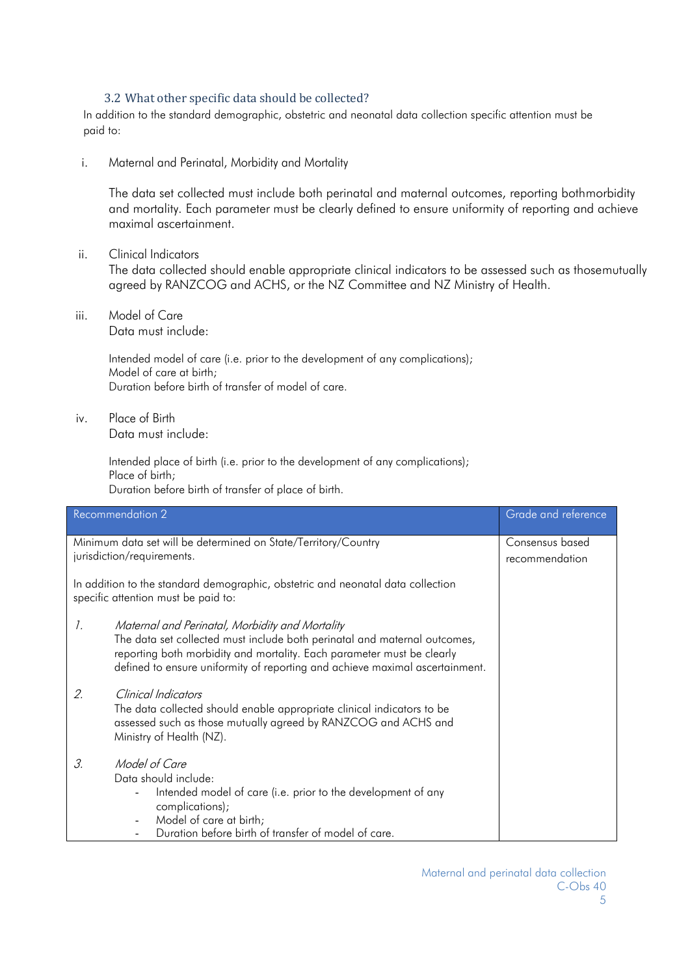## 3.2 What other specific data should be collected?

<span id="page-4-0"></span>In addition to the standard demographic, obstetric and neonatal data collection specific attention must be paid to:

i. Maternal and Perinatal, Morbidity and Mortality

The data set collected must include both perinatal and maternal outcomes, reporting bothmorbidity and mortality. Each parameter must be clearly defined to ensure uniformity of reporting and achieve maximal ascertainment.

- ii. Clinical Indicators The data collected should enable appropriate clinical indicators to be assessed such as thosemutually agreed by RANZCOG and ACHS, or the NZ Committee and NZ Ministry of Health.
- iii. Model of Care Data must include:

Intended model of care (i.e. prior to the development of any complications); Model of care at birth; Duration before birth of transfer of model of care.

iv. Place of Birth Data must include:

> Intended place of birth (i.e. prior to the development of any complications); Place of birth; Duration before birth of transfer of place of birth.

| <b>Recommendation 2</b> |                                                                                                                                                                                                                                                                                        | Grade and reference               |
|-------------------------|----------------------------------------------------------------------------------------------------------------------------------------------------------------------------------------------------------------------------------------------------------------------------------------|-----------------------------------|
|                         | Minimum data set will be determined on State/Territory/Country<br>jurisdiction/requirements.<br>In addition to the standard demographic, obstetric and neonatal data collection<br>specific attention must be paid to:                                                                 | Consensus based<br>recommendation |
| $\mathcal{I}$ .         | Maternal and Perinatal, Morbidity and Mortality<br>The data set collected must include both perinatal and maternal outcomes,<br>reporting both morbidity and mortality. Each parameter must be clearly<br>defined to ensure uniformity of reporting and achieve maximal ascertainment. |                                   |
| 2.                      | Clinical Indicators<br>The data collected should enable appropriate clinical indicators to be<br>assessed such as those mutually agreed by RANZCOG and ACHS and<br>Ministry of Health (NZ).                                                                                            |                                   |
| 3.                      | Model of Care<br>Data should include:<br>Intended model of care (i.e. prior to the development of any<br>complications);<br>Model of care at birth;<br>$\overline{\phantom{a}}$<br>Duration before birth of transfer of model of care.                                                 |                                   |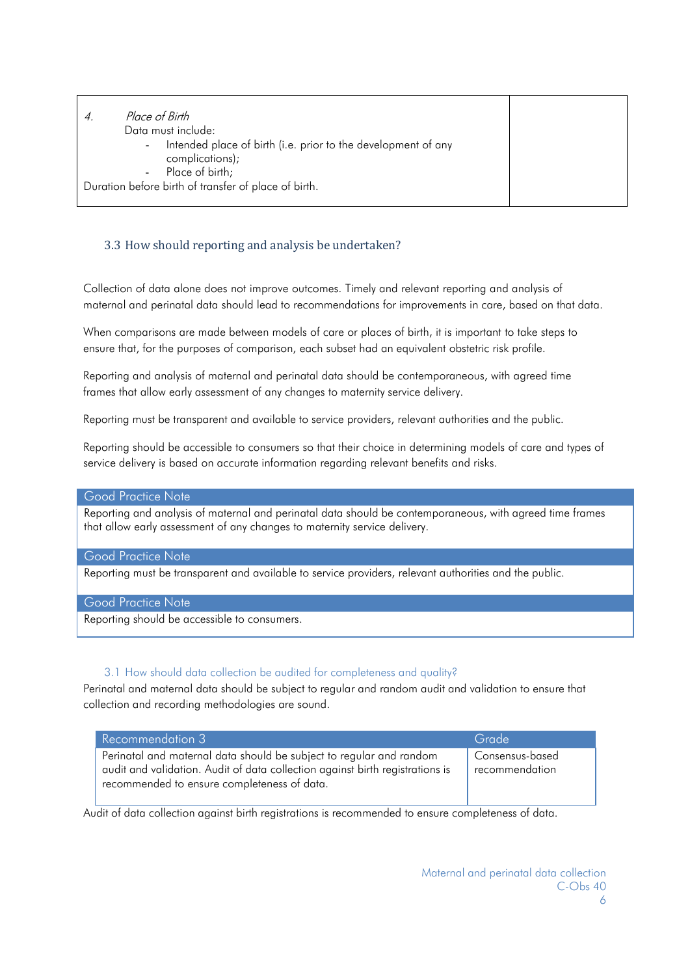| Place of Birth                                                                                                          |  |
|-------------------------------------------------------------------------------------------------------------------------|--|
| Data must include:                                                                                                      |  |
| Intended place of birth (i.e. prior to the development of any<br>$\sim$<br>complications);<br>Place of birth;<br>$\sim$ |  |
| Duration before birth of transfer of place of birth.                                                                    |  |
|                                                                                                                         |  |

## <span id="page-5-0"></span>3.3 How should reporting and analysis be undertaken?

Collection of data alone does not improve outcomes. Timely and relevant reporting and analysis of maternal and perinatal data should lead to recommendations for improvements in care, based on that data.

When comparisons are made between models of care or places of birth, it is important to take steps to ensure that, for the purposes of comparison, each subset had an equivalent obstetric risk profile.

Reporting and analysis of maternal and perinatal data should be contemporaneous, with agreed time frames that allow early assessment of any changes to maternity service delivery.

Reporting must be transparent and available to service providers, relevant authorities and the public.

Reporting should be accessible to consumers so that their choice in determining models of care and types of service delivery is based on accurate information regarding relevant benefits and risks.

## Good Practice Note

Reporting and analysis of maternal and perinatal data should be contemporaneous, with agreed time frames that allow early assessment of any changes to maternity service delivery.

## Good Practice Note

Reporting must be transparent and available to service providers, relevant authorities and the public.

## Good Practice Note

Reporting should be accessible to consumers.

## 3.1 How should data collection be audited for completeness and quality?

Perinatal and maternal data should be subject to regular and random audit and validation to ensure that collection and recording methodologies are sound.

| Recommendation 3                                                                                                                                                                                    | Grade                             |
|-----------------------------------------------------------------------------------------------------------------------------------------------------------------------------------------------------|-----------------------------------|
| Perinatal and maternal data should be subject to regular and random<br>audit and validation. Audit of data collection against birth registrations is<br>recommended to ensure completeness of data. | Consensus-based<br>recommendation |

Audit of data collection against birth registrations is recommended to ensure completeness of data.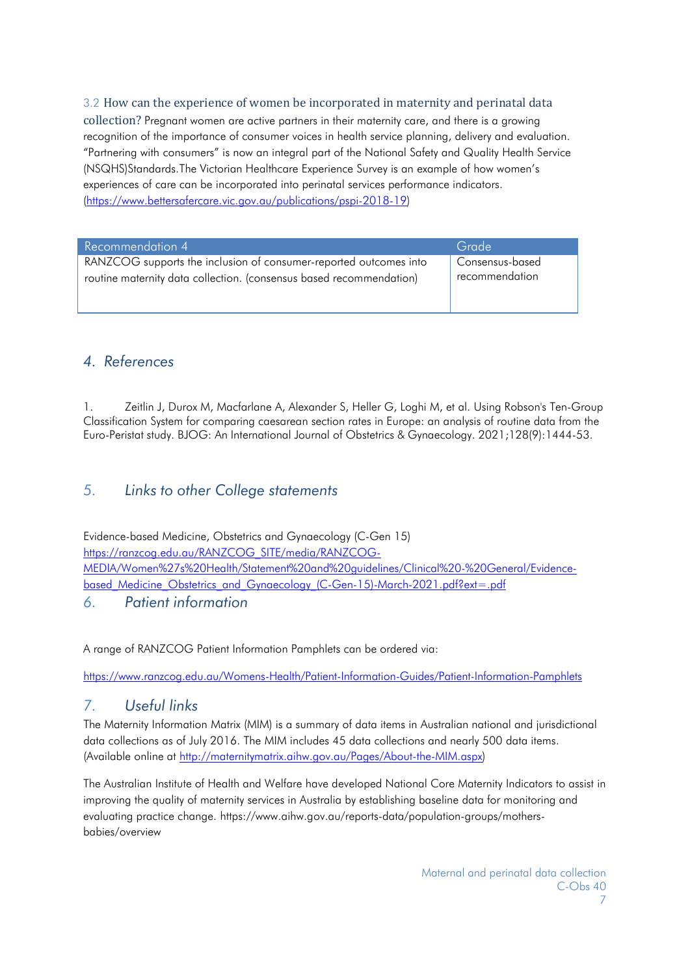## <span id="page-6-0"></span>3.2 How can the experience of women be incorporated in maternity and perinatal data

collection? Pregnant women are active partners in their maternity care, and there is a growing recognition of the importance of consumer voices in health service planning, delivery and evaluation. "Partnering with consumers" is now an integral part of the National Safety and Quality Health Service (NSQHS)Standards.The Victorian Healthcare Experience Survey is an example of how women's experiences of care can be incorporated into perinatal services performance indicators. [\(https://www.bettersafercare.vic.gov.au/publications/pspi-2018-19\)](https://www.bettersafercare.vic.gov.au/publications/pspi-2018-19)

| Recommendation 4                                                    | Grade           |
|---------------------------------------------------------------------|-----------------|
| RANZCOG supports the inclusion of consumer-reported outcomes into   | Consensus-based |
| routine maternity data collection. (consensus based recommendation) | recommendation  |
|                                                                     |                 |

## <span id="page-6-1"></span>*4. References*

1. Zeitlin J, Durox M, Macfarlane A, Alexander S, Heller G, Loghi M, et al. Using Robson's Ten-Group Classification System for comparing caesarean section rates in Europe: an analysis of routine data from the Euro-Peristat study. BJOG: An International Journal of Obstetrics & Gynaecology. 2021;128(9):1444-53.

## <span id="page-6-2"></span>*5. Links to other College statements*

Evidence-based Medicine, Obstetrics and Gynaecology (C-Gen 15) [https://ranzcog.edu.au/RANZCOG\\_SITE/media/RANZCOG-](https://ranzcog.edu.au/RANZCOG_SITE/media/RANZCOG-MEDIA/Women%27s%20Health/Statement%20and%20guidelines/Clinical%20-%20General/Evidence-based_Medicine_Obstetrics_and_Gynaecology_(C-Gen-15)-March-2021.pdf?ext=.pdf)[MEDIA/Women%27s%20Health/Statement%20and%20guidelines/Clinical%20-%20General/Evidence](https://ranzcog.edu.au/RANZCOG_SITE/media/RANZCOG-MEDIA/Women%27s%20Health/Statement%20and%20guidelines/Clinical%20-%20General/Evidence-based_Medicine_Obstetrics_and_Gynaecology_(C-Gen-15)-March-2021.pdf?ext=.pdf)based Medicine Obstetrics and Gynaecology (C-Gen-15)-March-2021.pdf?ext=.pdf

<span id="page-6-3"></span>*6. Patient information*

A range of RANZCOG Patient Information Pamphlets can be ordered via:

<https://www.ranzcog.edu.au/Womens-Health/Patient-Information-Guides/Patient-Information-Pamphlets>

## <span id="page-6-4"></span>*7. Useful links*

The Maternity Information Matrix (MIM) is a summary of data items in Australian national and jurisdictional data collections as of July 2016. The MIM includes 45 data collections and nearly 500 data items. (Available online at [http://maternitymatrix.aihw.gov.au/Pages/About-the-MIM.aspx\)](http://maternitymatrix.aihw.gov.au/Pages/About-the-MIM.aspx)

The Australian Institute of Health and Welfare have developed National Core Maternity Indicators to assist in improving the quality of maternity services in Australia by establishing baseline data for monitoring and evaluating practice change. https:/[/www.aihw.gov.au/reports-data/population-groups/mothers](http://www.aihw.gov.au/reports-data/population-groups/mothers-)babies/overview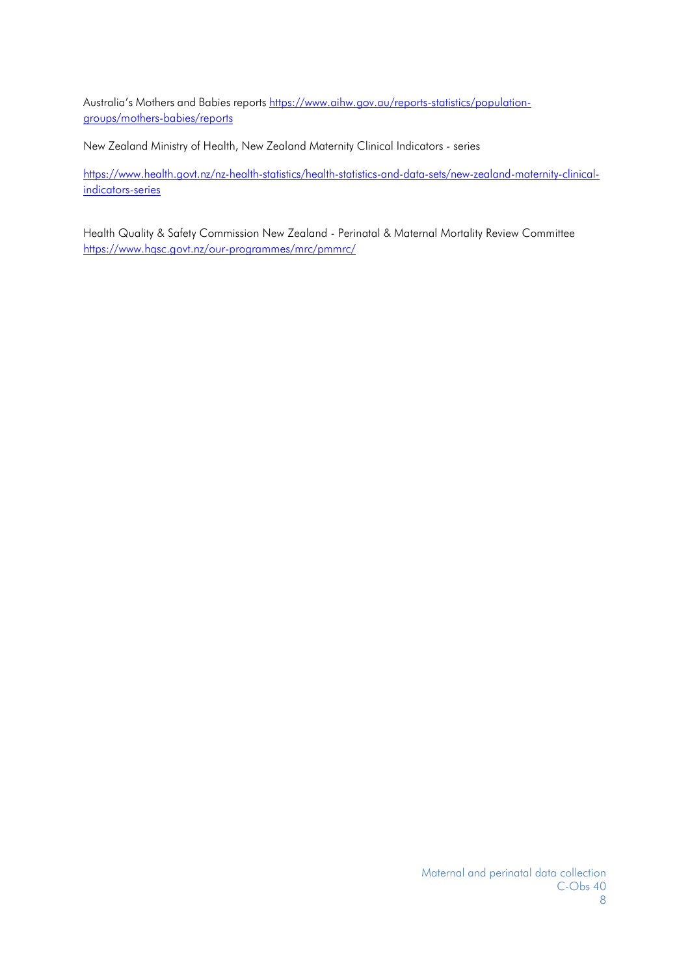Australia's Mothers and Babies reports [https://www.aihw.gov.au/reports-statistics/population](https://www.aihw.gov.au/reports-statistics/population-groups/mothers-babies/reports)[groups/mothers-babies/reports](https://www.aihw.gov.au/reports-statistics/population-groups/mothers-babies/reports)

New Zealand Ministry of Health, New Zealand Maternity Clinical Indicators - series

[https://www.health.govt.nz/nz-](https://www.health.govt.nz/nz-health-statistics/health-statistics-and-data-sets/new-zealand-maternity-clinical-indicators-series)health-statistics/health-statistics-and-data-sets/new-zealand-maternity-clinicalindicators-series

Health Quality & Safety Commission New Zealand - Perinatal & Maternal Mortality Review Committee <https://www.hqsc.govt.nz/our-programmes/mrc/pmmrc/>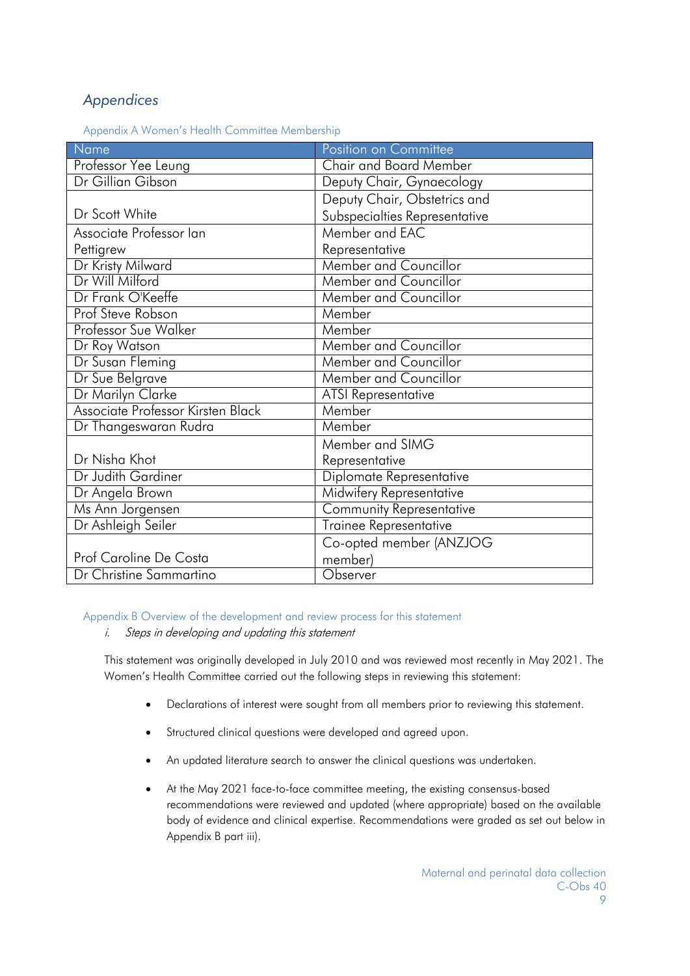# <span id="page-8-0"></span>*Appendices*

Appendix A Women's Health Committee Membership

| Name                              | Position on Committee         |
|-----------------------------------|-------------------------------|
| Professor Yee Leung               | <b>Chair and Board Member</b> |
| Dr Gillian Gibson                 | Deputy Chair, Gynaecology     |
|                                   | Deputy Chair, Obstetrics and  |
| Dr Scott White                    | Subspecialties Representative |
| Associate Professor lan           | Member and EAC                |
| Pettigrew                         | Representative                |
| Dr Kristy Milward                 | Member and Councillor         |
| Dr Will Milford                   | Member and Councillor         |
| Dr Frank O'Keeffe                 | <b>Member and Councillor</b>  |
| Prof Steve Robson                 | Member                        |
| <b>Professor Sue Walker</b>       | Member                        |
| Dr Roy Watson                     | <b>Member and Councillor</b>  |
| Dr Susan Fleming                  | <b>Member and Councillor</b>  |
| Dr Sue Belgrave                   | Member and Councillor         |
| Dr Marilyn Clarke                 | <b>ATSI Representative</b>    |
| Associate Professor Kirsten Black | Member                        |
| Dr Thangeswaran Rudra             | Member                        |
|                                   | Member and SIMG               |
| Dr Nisha Khot                     | Representative                |
| Dr Judith Gardiner                | Diplomate Representative      |
| Dr Angela Brown                   | Midwifery Representative      |
| Ms Ann Jorgensen                  | Community Representative      |
| Dr Ashleigh Seiler                | <b>Trainee Representative</b> |
|                                   | Co-opted member (ANZJOG       |
| Prof Caroline De Costa            | member)                       |
| Dr Christine Sammartino           | Observer                      |

<span id="page-8-1"></span>Appendix B Overview of the development and review process for this statement

i. Steps in developing and updating this statement

This statement was originally developed in July 2010 and was reviewed most recently in May 2021. The Women's Health Committee carried out the following steps in reviewing this statement:

- Declarations of interest were sought from all members prior to reviewing this statement.
- Structured clinical questions were developed and agreed upon.
- An updated literature search to answer the clinical questions was undertaken.
- At the May 2021 face-to-face committee meeting, the existing consensus-based recommendations were reviewed and updated (where appropriate) based on the available body of evidence and clinical expertise. Recommendations were graded as set out below in Appendix B part iii).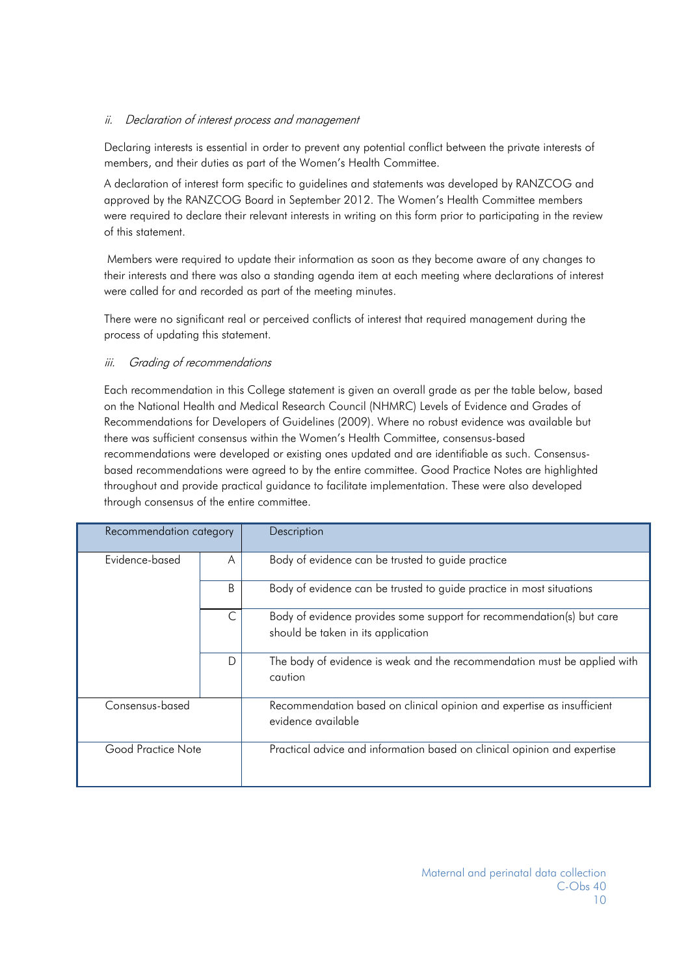## <span id="page-9-0"></span>ii. Declaration of interest process and management

Declaring interests is essential in order to prevent any potential conflict between the private interests of members, and their duties as part of the Women's Health Committee.

A declaration of interest form specific to guidelines and statements was developed by RANZCOG and approved by the RANZCOG Board in September 2012. The Women's Health Committee members were required to declare their relevant interests in writing on this form prior to participating in the review of this statement.

Members were required to update their information as soon as they become aware of any changes to their interests and there was also a standing agenda item at each meeting where declarations of interest were called for and recorded as part of the meeting minutes.

There were no significant real or perceived conflicts of interest that required management during the process of updating this statement.

## <span id="page-9-1"></span>iii. Grading of recommendations

Each recommendation in this College statement is given an overall grade as per the table below, based on the National Health and Medical Research Council (NHMRC) Levels of Evidence and Grades of Recommendations for Developers of Guidelines (2009). Where no robust evidence was available but there was sufficient consensus within the Women's Health Committee, consensus-based recommendations were developed or existing ones updated and are identifiable as such. Consensusbased recommendations were agreed to by the entire committee. Good Practice Notes are highlighted throughout and provide practical guidance to facilitate implementation. These were also developed through consensus of the entire committee.

| Recommendation category |   | Description                                                                                                 |  |
|-------------------------|---|-------------------------------------------------------------------------------------------------------------|--|
| Evidence-based          | A | Body of evidence can be trusted to guide practice                                                           |  |
|                         | B | Body of evidence can be trusted to guide practice in most situations                                        |  |
|                         | C | Body of evidence provides some support for recommendation(s) but care<br>should be taken in its application |  |
|                         | D | The body of evidence is weak and the recommendation must be applied with<br>caution                         |  |
| Consensus-based         |   | Recommendation based on clinical opinion and expertise as insufficient<br>evidence available                |  |
| Good Practice Note      |   | Practical advice and information based on clinical opinion and expertise                                    |  |